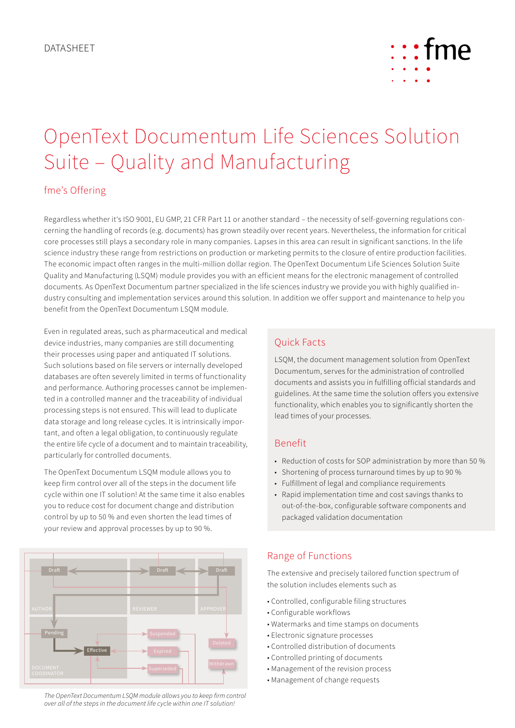

# OpenText Documentum Life Sciences Solution Suite – Quality and Manufacturing

## fme's Offering

Regardless whether it's ISO 9001, EU GMP, 21 CFR Part 11 or another standard – the necessity of self-governing regulations concerning the handling of records (e.g. documents) has grown steadily over recent years. Nevertheless, the information for critical core processes still plays a secondary role in many companies. Lapses in this area can result in significant sanctions. In the life science industry these range from restrictions on production or marketing permits to the closure of entire production facilities. The economic impact often ranges in the multi-million dollar region. The OpenText Documentum Life Sciences Solution Suite Quality and Manufacturing (LSQM) module provides you with an efficient means for the electronic management of controlled documents. As OpenText Documentum partner specialized in the life sciences industry we provide you with highly qualified industry consulting and implementation services around this solution. In addition we offer support and maintenance to help you benefit from the OpenText Documentum LSQM module.

Even in regulated areas, such as pharmaceutical and medical device industries, many companies are still documenting their processes using paper and antiquated IT solutions. Such solutions based on file servers or internally developed databases are often severely limited in terms of functionality and performance. Authoring processes cannot be implemented in a controlled manner and the traceability of individual processing steps is not ensured. This will lead to duplicate data storage and long release cycles. It is intrinsically important, and often a legal obligation, to continuously regulate the entire life cycle of a document and to maintain traceability, particularly for controlled documents.

The OpenText Documentum LSQM module allows you to keep firm control over all of the steps in the document life cycle within one IT solution! At the same time it also enables you to reduce cost for document change and distribution control by up to 50 % and even shorten the lead times of your review and approval processes by up to 90 %.



*The OpenText Documentum LSQM module allows you to keep firm control over all of the steps in the document life cycle within one IT solution!*

# Quick Facts

LSQM, the document management solution from OpenText Documentum, serves for the administration of controlled documents and assists you in fulfilling official standards and guidelines. At the same time the solution offers you extensive functionality, which enables you to significantly shorten the lead times of your processes.

### Benefit

- Reduction of costs for SOP administration by more than 50 %
- Shortening of process turnaround times by up to 90 %
- Fulfillment of legal and compliance requirements
- Rapid implementation time and cost savings thanks to out-of-the-box, configurable software components and packaged validation documentation

## Range of Functions

The extensive and precisely tailored function spectrum of the solution includes elements such as

- Controlled, configurable filing structures
- Configurable workflows
- Watermarks and time stamps on documents
- Electronic signature processes
- Controlled distribution of documents
- Controlled printing of documents
- Management of the revision process
- Management of change requests